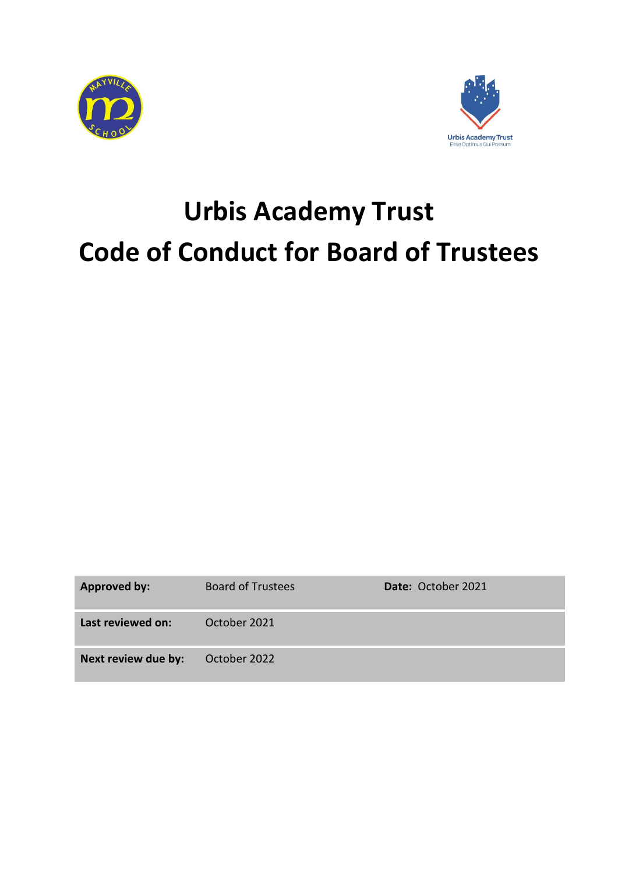



# **Urbis Academy Trust Code of Conduct for Board of Trustees**

| <b>Approved by:</b> | <b>Board of Trustees</b> | Date: October 2021 |
|---------------------|--------------------------|--------------------|
| Last reviewed on:   | October 2021             |                    |
| Next review due by: | October 2022             |                    |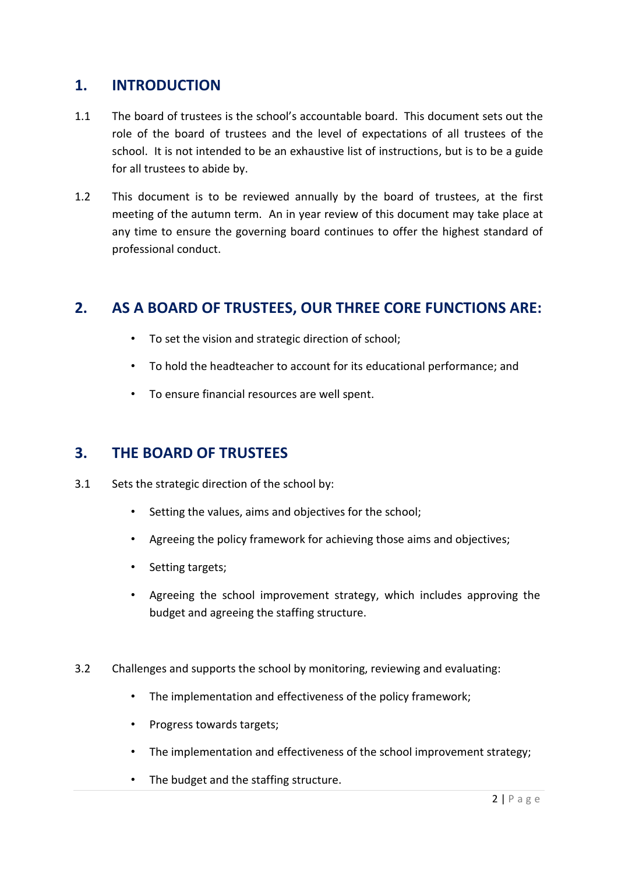#### **1. INTRODUCTION**

- 1.1 The board of trustees is the school's accountable board. This document sets out the role of the board of trustees and the level of expectations of all trustees of the school. It is not intended to be an exhaustive list of instructions, but is to be a guide for all trustees to abide by.
- 1.2 This document is to be reviewed annually by the board of trustees, at the first meeting of the autumn term. An in year review of this document may take place at any time to ensure the governing board continues to offer the highest standard of professional conduct.

## **2. AS A BOARD OF TRUSTEES, OUR THREE CORE FUNCTIONS ARE:**

- To set the vision and strategic direction of school;
- To hold the headteacher to account for its educational performance; and
- To ensure financial resources are well spent.

### **3. THE BOARD OF TRUSTEES**

- 3.1 Sets the strategic direction of the school by:
	- Setting the values, aims and objectives for the school;
	- Agreeing the policy framework for achieving those aims and objectives;
	- Setting targets;
	- Agreeing the school improvement strategy, which includes approving the budget and agreeing the staffing structure.
- 3.2 Challenges and supports the school by monitoring, reviewing and evaluating:
	- The implementation and effectiveness of the policy framework;
	- Progress towards targets;
	- The implementation and effectiveness of the school improvement strategy;
	- The budget and the staffing structure.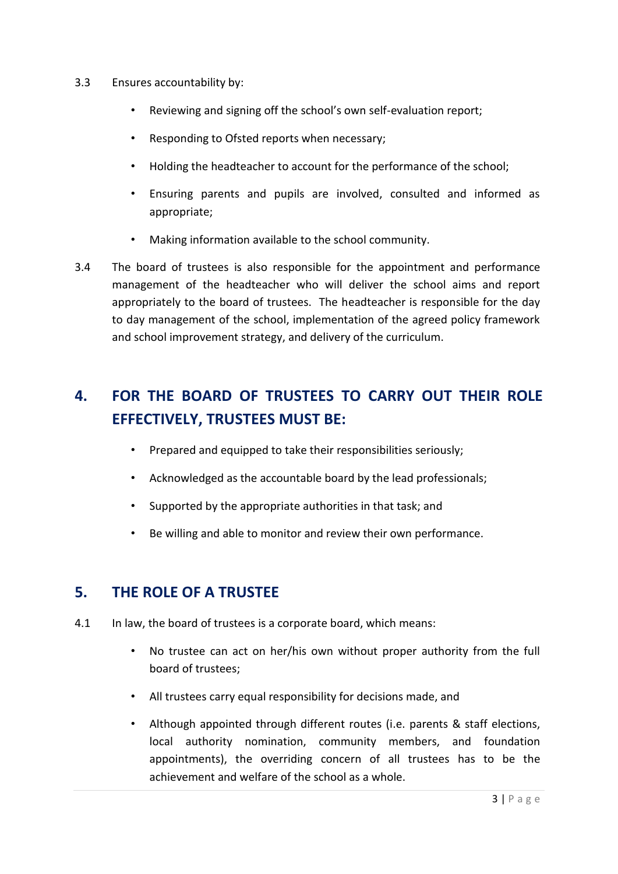- 3.3 Ensures accountability by:
	- Reviewing and signing off the school's own self-evaluation report;
	- Responding to Ofsted reports when necessary;
	- Holding the headteacher to account for the performance of the school;
	- Ensuring parents and pupils are involved, consulted and informed as appropriate;
	- Making information available to the school community.
- 3.4 The board of trustees is also responsible for the appointment and performance management of the headteacher who will deliver the school aims and report appropriately to the board of trustees. The headteacher is responsible for the day to day management of the school, implementation of the agreed policy framework and school improvement strategy, and delivery of the curriculum.

# **4. FOR THE BOARD OF TRUSTEES TO CARRY OUT THEIR ROLE EFFECTIVELY, TRUSTEES MUST BE:**

- Prepared and equipped to take their responsibilities seriously;
- Acknowledged as the accountable board by the lead professionals;
- Supported by the appropriate authorities in that task; and
- Be willing and able to monitor and review their own performance.

#### **5. THE ROLE OF A TRUSTEE**

- 4.1 In law, the board of trustees is a corporate board, which means:
	- No trustee can act on her/his own without proper authority from the full board of trustees;
	- All trustees carry equal responsibility for decisions made, and
	- Although appointed through different routes (i.e. parents & staff elections, local authority nomination, community members, and foundation appointments), the overriding concern of all trustees has to be the achievement and welfare of the school as a whole.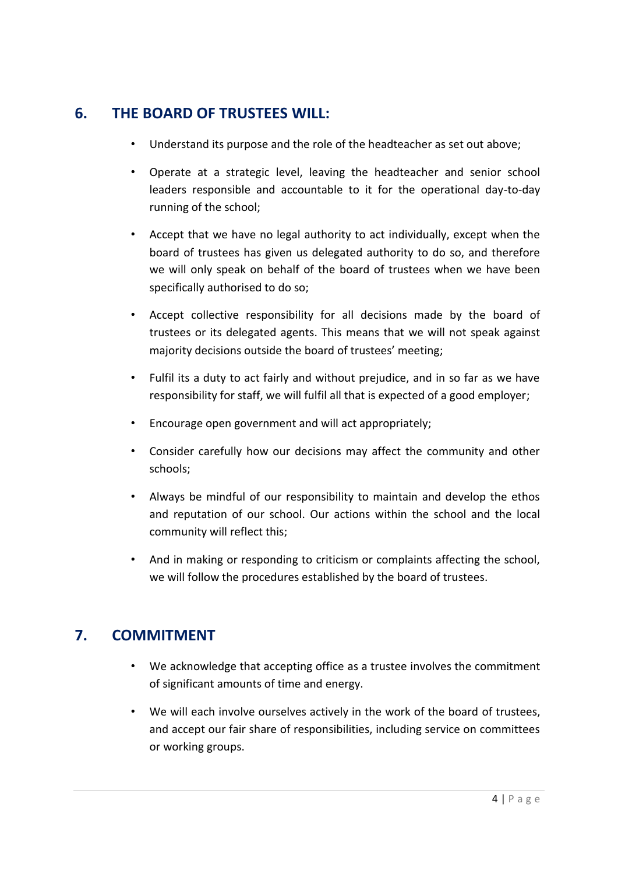### **6. THE BOARD OF TRUSTEES WILL:**

- Understand its purpose and the role of the headteacher as set out above;
- Operate at a strategic level, leaving the headteacher and senior school leaders responsible and accountable to it for the operational day-to-day running of the school;
- Accept that we have no legal authority to act individually, except when the board of trustees has given us delegated authority to do so, and therefore we will only speak on behalf of the board of trustees when we have been specifically authorised to do so;
- Accept collective responsibility for all decisions made by the board of trustees or its delegated agents. This means that we will not speak against majority decisions outside the board of trustees' meeting;
- Fulfil its a duty to act fairly and without prejudice, and in so far as we have responsibility for staff, we will fulfil all that is expected of a good employer;
- Encourage open government and will act appropriately;
- Consider carefully how our decisions may affect the community and other schools;
- Always be mindful of our responsibility to maintain and develop the ethos and reputation of our school. Our actions within the school and the local community will reflect this;
- And in making or responding to criticism or complaints affecting the school, we will follow the procedures established by the board of trustees.

# **7. COMMITMENT**

- We acknowledge that accepting office as a trustee involves the commitment of significant amounts of time and energy.
- We will each involve ourselves actively in the work of the board of trustees, and accept our fair share of responsibilities, including service on committees or working groups.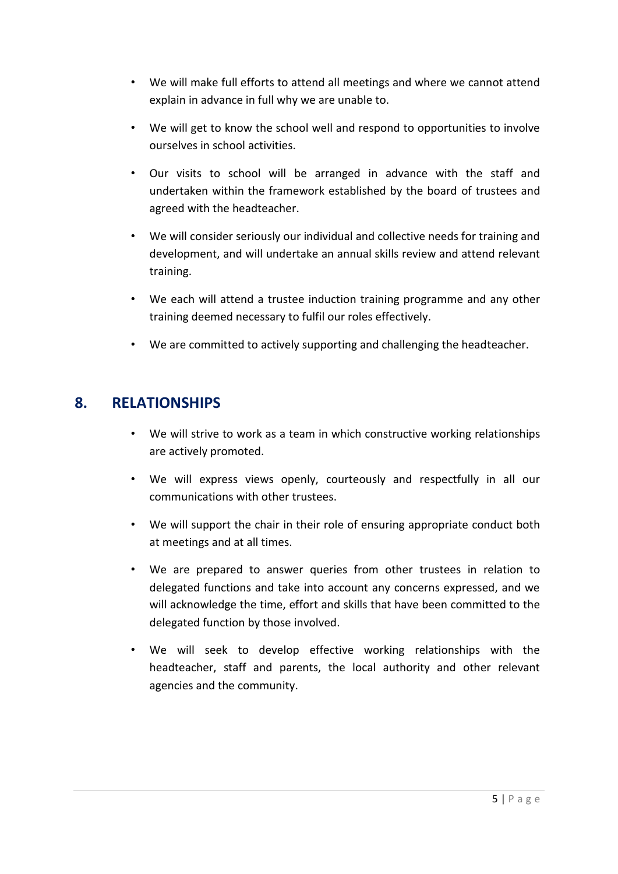- We will make full efforts to attend all meetings and where we cannot attend explain in advance in full why we are unable to.
- We will get to know the school well and respond to opportunities to involve ourselves in school activities.
- Our visits to school will be arranged in advance with the staff and undertaken within the framework established by the board of trustees and agreed with the headteacher.
- We will consider seriously our individual and collective needs for training and development, and will undertake an annual skills review and attend relevant training.
- We each will attend a trustee induction training programme and any other training deemed necessary to fulfil our roles effectively.
- We are committed to actively supporting and challenging the headteacher.

#### **8. RELATIONSHIPS**

- We will strive to work as a team in which constructive working relationships are actively promoted.
- We will express views openly, courteously and respectfully in all our communications with other trustees.
- We will support the chair in their role of ensuring appropriate conduct both at meetings and at all times.
- We are prepared to answer queries from other trustees in relation to delegated functions and take into account any concerns expressed, and we will acknowledge the time, effort and skills that have been committed to the delegated function by those involved.
- We will seek to develop effective working relationships with the headteacher, staff and parents, the local authority and other relevant agencies and the community.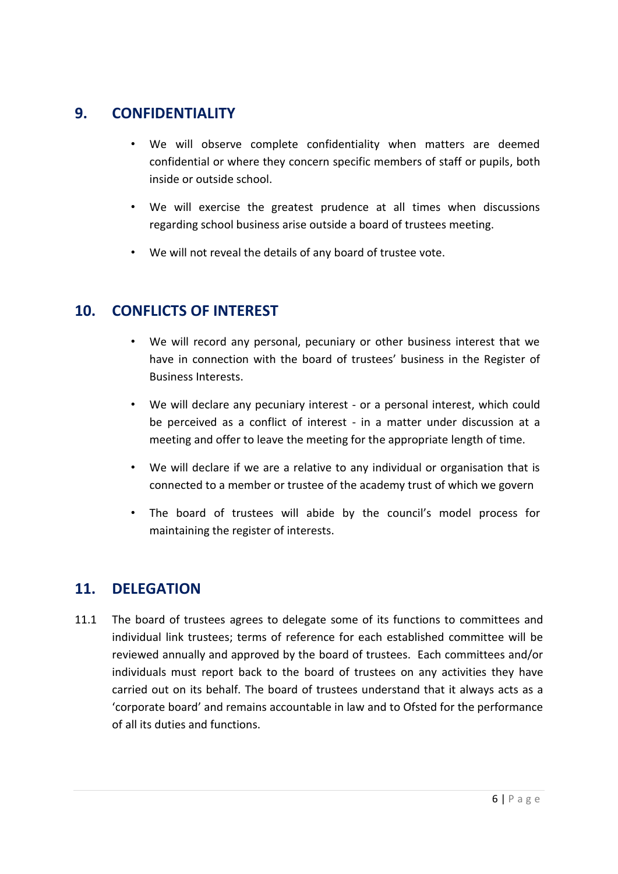### **9. CONFIDENTIALITY**

- We will observe complete confidentiality when matters are deemed confidential or where they concern specific members of staff or pupils, both inside or outside school.
- We will exercise the greatest prudence at all times when discussions regarding school business arise outside a board of trustees meeting.
- We will not reveal the details of any board of trustee vote.

### **10. CONFLICTS OF INTEREST**

- We will record any personal, pecuniary or other business interest that we have in connection with the board of trustees' business in the Register of Business Interests.
- We will declare any pecuniary interest or a personal interest, which could be perceived as a conflict of interest - in a matter under discussion at a meeting and offer to leave the meeting for the appropriate length of time.
- We will declare if we are a relative to any individual or organisation that is connected to a member or trustee of the academy trust of which we govern
- The board of trustees will abide by the council's model process for maintaining the register of interests.

### **11. DELEGATION**

11.1 The board of trustees agrees to delegate some of its functions to committees and individual link trustees; terms of reference for each established committee will be reviewed annually and approved by the board of trustees. Each committees and/or individuals must report back to the board of trustees on any activities they have carried out on its behalf. The board of trustees understand that it always acts as a 'corporate board' and remains accountable in law and to Ofsted for the performance of all its duties and functions.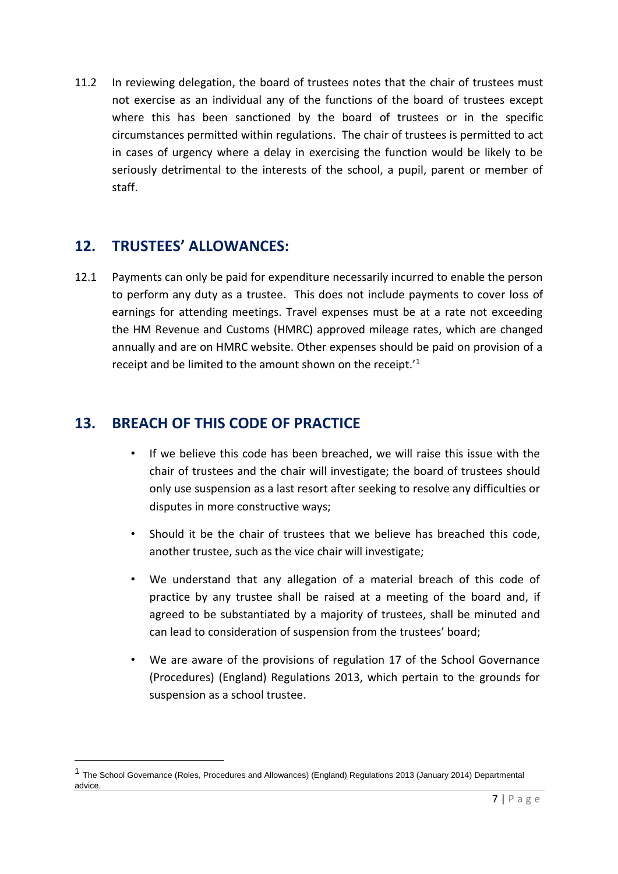11.2 In reviewing delegation, the board of trustees notes that the chair of trustees must not exercise as an individual any of the functions of the board of trustees except where this has been sanctioned by the board of trustees or in the specific circumstances permitted within regulations. The chair of trustees is permitted to act in cases of urgency where a delay in exercising the function would be likely to be seriously detrimental to the interests of the school, a pupil, parent or member of staff.

## **12. TRUSTEES' ALLOWANCES:**

**.** 

12.1 Payments can only be paid for expenditure necessarily incurred to enable the person to perform any duty as a trustee. This does not include payments to cover loss of earnings for attending meetings. Travel expenses must be at a rate not exceeding the HM Revenue and Customs (HMRC) approved mileage rates, which are changed annually and are on HMRC website. Other expenses should be paid on provision of a receipt and be limited to the amount shown on the receipt.'<sup>1</sup>

# **13. BREACH OF THIS CODE OF PRACTICE**

- If we believe this code has been breached, we will raise this issue with the chair of trustees and the chair will investigate; the board of trustees should only use suspension as a last resort after seeking to resolve any difficulties or disputes in more constructive ways;
- Should it be the chair of trustees that we believe has breached this code, another trustee, such as the vice chair will investigate;
- We understand that any allegation of a material breach of this code of practice by any trustee shall be raised at a meeting of the board and, if agreed to be substantiated by a majority of trustees, shall be minuted and can lead to consideration of suspension from the trustees' board;
- We are aware of the provisions of regulation 17 of the School Governance (Procedures) (England) Regulations 2013, which pertain to the grounds for suspension as a school trustee.

<sup>1</sup> The School Governance (Roles, Procedures and Allowances) (England) Regulations 2013 (January 2014) Departmental advice.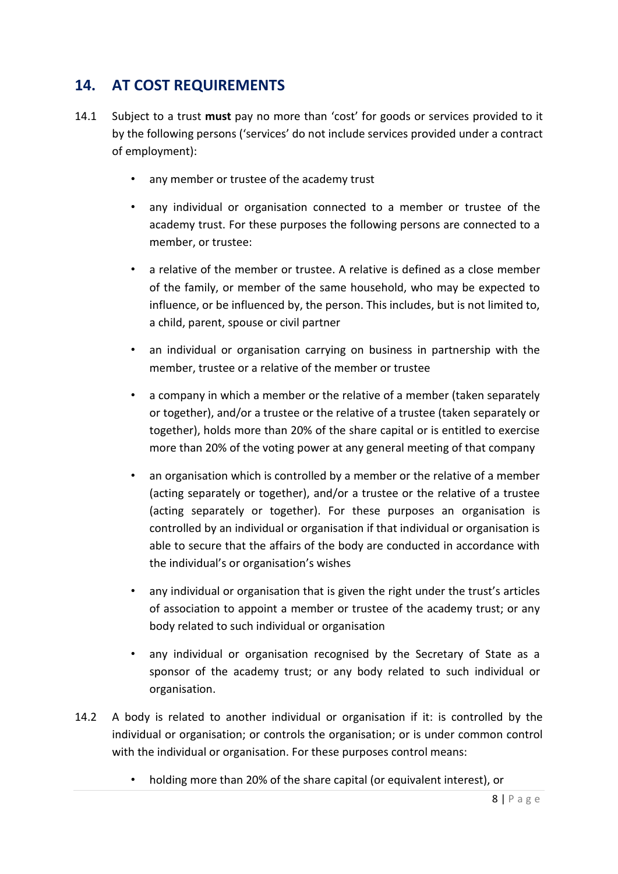# **14. AT COST REQUIREMENTS**

- 14.1 Subject to a trust **must** pay no more than 'cost' for goods or services provided to it by the following persons ('services' do not include services provided under a contract of employment):
	- any member or trustee of the academy trust
	- any individual or organisation connected to a member or trustee of the academy trust. For these purposes the following persons are connected to a member, or trustee:
	- a relative of the member or trustee. A relative is defined as a close member of the family, or member of the same household, who may be expected to influence, or be influenced by, the person. This includes, but is not limited to, a child, parent, spouse or civil partner
	- an individual or organisation carrying on business in partnership with the member, trustee or a relative of the member or trustee
	- a company in which a member or the relative of a member (taken separately or together), and/or a trustee or the relative of a trustee (taken separately or together), holds more than 20% of the share capital or is entitled to exercise more than 20% of the voting power at any general meeting of that company
	- an organisation which is controlled by a member or the relative of a member (acting separately or together), and/or a trustee or the relative of a trustee (acting separately or together). For these purposes an organisation is controlled by an individual or organisation if that individual or organisation is able to secure that the affairs of the body are conducted in accordance with the individual's or organisation's wishes
	- any individual or organisation that is given the right under the trust's articles of association to appoint a member or trustee of the academy trust; or any body related to such individual or organisation
	- any individual or organisation recognised by the Secretary of State as a sponsor of the academy trust; or any body related to such individual or organisation.
- 14.2 A body is related to another individual or organisation if it: is controlled by the individual or organisation; or controls the organisation; or is under common control with the individual or organisation. For these purposes control means:
	- holding more than 20% of the share capital (or equivalent interest), or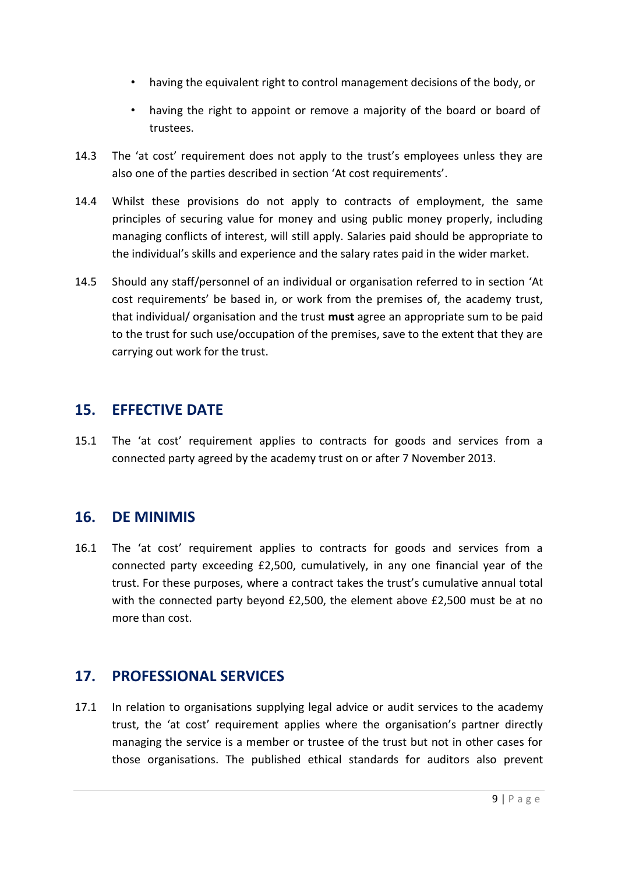- having the equivalent right to control management decisions of the body, or
- having the right to appoint or remove a majority of the board or board of trustees.
- 14.3 The 'at cost' requirement does not apply to the trust's employees unless they are also one of the parties described in section 'At cost requirements'.
- 14.4 Whilst these provisions do not apply to contracts of employment, the same principles of securing value for money and using public money properly, including managing conflicts of interest, will still apply. Salaries paid should be appropriate to the individual's skills and experience and the salary rates paid in the wider market.
- 14.5 Should any staff/personnel of an individual or organisation referred to in section 'At cost requirements' be based in, or work from the premises of, the academy trust, that individual/ organisation and the trust **must** agree an appropriate sum to be paid to the trust for such use/occupation of the premises, save to the extent that they are carrying out work for the trust.

#### **15. EFFECTIVE DATE**

15.1 The 'at cost' requirement applies to contracts for goods and services from a connected party agreed by the academy trust on or after 7 November 2013.

#### **16. DE MINIMIS**

16.1 The 'at cost' requirement applies to contracts for goods and services from a connected party exceeding £2,500, cumulatively, in any one financial year of the trust. For these purposes, where a contract takes the trust's cumulative annual total with the connected party beyond £2,500, the element above £2,500 must be at no more than cost.

### **17. PROFESSIONAL SERVICES**

17.1 In relation to organisations supplying legal advice or audit services to the academy trust, the 'at cost' requirement applies where the organisation's partner directly managing the service is a member or trustee of the trust but not in other cases for those organisations. The published ethical standards for auditors also prevent